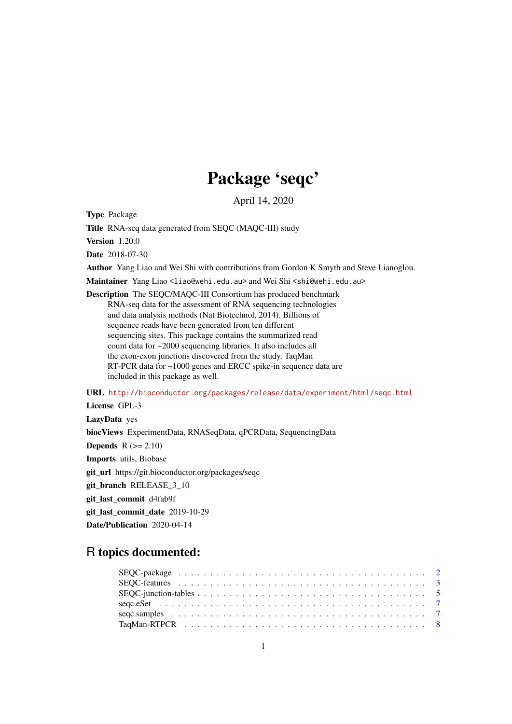# Package 'seqc'

April 14, 2020

Type Package

Title RNA-seq data generated from SEQC (MAQC-III) study

Version 1.20.0

Date 2018-07-30

Author Yang Liao and Wei Shi with contributions from Gordon K Smyth and Steve Lianoglou.

Maintainer Yang Liao <liao@wehi.edu.au> and Wei Shi <shi@wehi.edu.au>

Description The SEQC/MAQC-III Consortium has produced benchmark RNA-seq data for the assessment of RNA sequencing technologies and data analysis methods (Nat Biotechnol, 2014). Billions of sequence reads have been generated from ten different sequencing sites. This package contains the summarized read count data for ~2000 sequencing libraries. It also includes all the exon-exon junctions discovered from the study. TaqMan RT-PCR data for ~1000 genes and ERCC spike-in sequence data are included in this package as well.

URL <http://bioconductor.org/packages/release/data/experiment/html/seqc.html>

License GPL-3

LazyData yes

biocViews ExperimentData, RNASeqData, qPCRData, SequencingData

**Depends**  $R$  ( $>= 2.10$ )

Imports utils, Biobase

git\_url https://git.bioconductor.org/packages/seqc

git\_branch RELEASE\_3\_10

git\_last\_commit d4fab9f

git last commit date 2019-10-29

Date/Publication 2020-04-14

## R topics documented: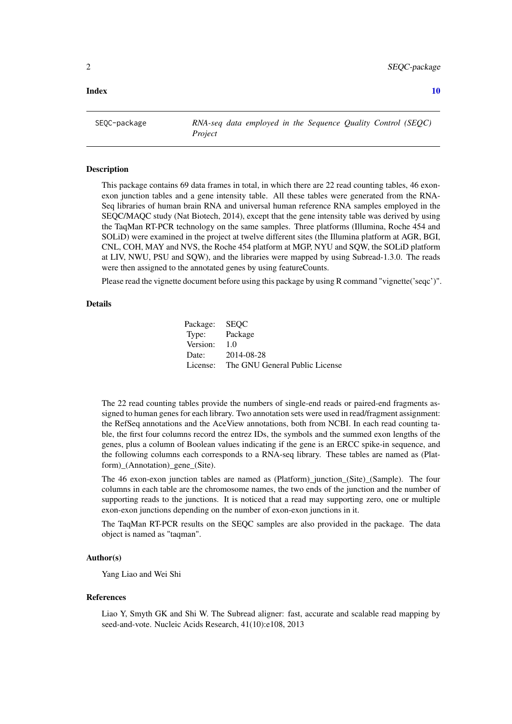### <span id="page-1-0"></span> $\blacksquare$

SEQC-package *RNA-seq data employed in the Sequence Quality Control (SEQC) Project*

## Description

This package contains 69 data frames in total, in which there are 22 read counting tables, 46 exonexon junction tables and a gene intensity table. All these tables were generated from the RNA-Seq libraries of human brain RNA and universal human reference RNA samples employed in the SEQC/MAQC study (Nat Biotech, 2014), except that the gene intensity table was derived by using the TaqMan RT-PCR technology on the same samples. Three platforms (Illumina, Roche 454 and SOLiD) were examined in the project at twelve different sites (the Illumina platform at AGR, BGI, CNL, COH, MAY and NVS, the Roche 454 platform at MGP, NYU and SQW, the SOLiD platform at LIV, NWU, PSU and SQW), and the libraries were mapped by using Subread-1.3.0. The reads were then assigned to the annotated genes by using featureCounts.

Please read the vignette document before using this package by using R command "vignette('seqc')".

#### Details

| Package: SEQC |                                |
|---------------|--------------------------------|
| Type: Package |                                |
| Version:      | 1.0                            |
| Date:         | 2014-08-28                     |
| License:      | The GNU General Public License |

The 22 read counting tables provide the numbers of single-end reads or paired-end fragments assigned to human genes for each library. Two annotation sets were used in read/fragment assignment: the RefSeq annotations and the AceView annotations, both from NCBI. In each read counting table, the first four columns record the entrez IDs, the symbols and the summed exon lengths of the genes, plus a column of Boolean values indicating if the gene is an ERCC spike-in sequence, and the following columns each corresponds to a RNA-seq library. These tables are named as (Platform)\_(Annotation)\_gene\_(Site).

The 46 exon-exon junction tables are named as (Platform)\_junction\_(Site)\_(Sample). The four columns in each table are the chromosome names, the two ends of the junction and the number of supporting reads to the junctions. It is noticed that a read may supporting zero, one or multiple exon-exon junctions depending on the number of exon-exon junctions in it.

The TaqMan RT-PCR results on the SEQC samples are also provided in the package. The data object is named as "taqman".

## Author(s)

Yang Liao and Wei Shi

#### References

Liao Y, Smyth GK and Shi W. The Subread aligner: fast, accurate and scalable read mapping by seed-and-vote. Nucleic Acids Research, 41(10):e108, 2013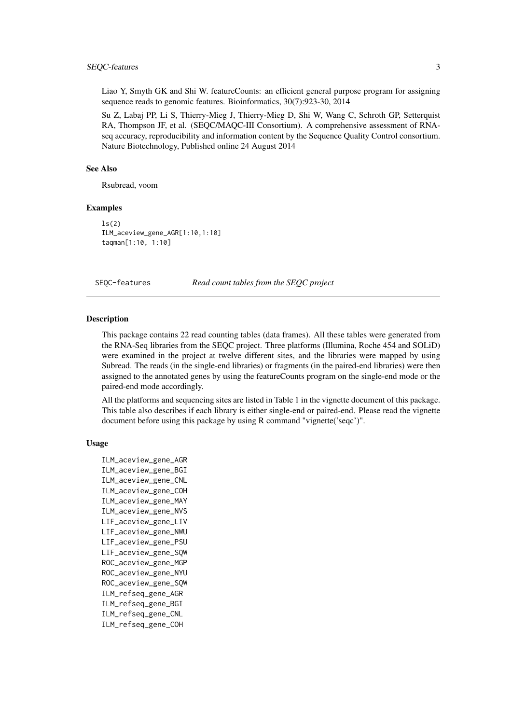<span id="page-2-0"></span>Liao Y, Smyth GK and Shi W. featureCounts: an efficient general purpose program for assigning sequence reads to genomic features. Bioinformatics, 30(7):923-30, 2014

Su Z, Labaj PP, Li S, Thierry-Mieg J, Thierry-Mieg D, Shi W, Wang C, Schroth GP, Setterquist RA, Thompson JF, et al. (SEQC/MAQC-III Consortium). A comprehensive assessment of RNAseq accuracy, reproducibility and information content by the Sequence Quality Control consortium. Nature Biotechnology, Published online 24 August 2014

## See Also

Rsubread, voom

#### Examples

 $ls(2)$ ILM\_aceview\_gene\_AGR[1:10,1:10] taqman[1:10, 1:10]

SEQC-features *Read count tables from the SEQC project*

## Description

This package contains 22 read counting tables (data frames). All these tables were generated from the RNA-Seq libraries from the SEQC project. Three platforms (Illumina, Roche 454 and SOLiD) were examined in the project at twelve different sites, and the libraries were mapped by using Subread. The reads (in the single-end libraries) or fragments (in the paired-end libraries) were then assigned to the annotated genes by using the featureCounts program on the single-end mode or the paired-end mode accordingly.

All the platforms and sequencing sites are listed in Table 1 in the vignette document of this package. This table also describes if each library is either single-end or paired-end. Please read the vignette document before using this package by using R command "vignette('seqc')".

## Usage

```
ILM_aceview_gene_AGR
ILM_aceview_gene_BGI
ILM_aceview_gene_CNL
ILM_aceview_gene_COH
ILM_aceview_gene_MAY
ILM_aceview_gene_NVS
LIF_aceview_gene_LIV
LIF_aceview_gene_NWU
LIF_aceview_gene_PSU
LIF_aceview_gene_SQW
ROC_aceview_gene_MGP
ROC_aceview_gene_NYU
ROC_aceview_gene_SQW
ILM_refseq_gene_AGR
ILM_refseq_gene_BGI
ILM_refseq_gene_CNL
ILM_refseq_gene_COH
```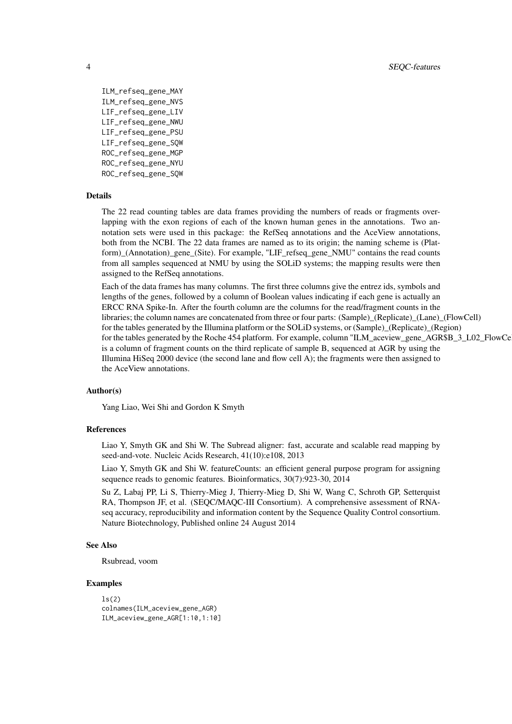```
ILM_refseq_gene_MAY
ILM_refseq_gene_NVS
LIF_refseq_gene_LIV
LIF_refseq_gene_NWU
LIF_refseq_gene_PSU
LIF_refseq_gene_SQW
ROC_refseq_gene_MGP
ROC_refseq_gene_NYU
ROC_refseq_gene_SQW
```
## Details

The 22 read counting tables are data frames providing the numbers of reads or fragments overlapping with the exon regions of each of the known human genes in the annotations. Two annotation sets were used in this package: the RefSeq annotations and the AceView annotations, both from the NCBI. The 22 data frames are named as to its origin; the naming scheme is (Platform)\_(Annotation)\_gene\_(Site). For example, "LIF\_refseq\_gene\_NMU" contains the read counts from all samples sequenced at NMU by using the SOLiD systems; the mapping results were then assigned to the RefSeq annotations.

Each of the data frames has many columns. The first three columns give the entrez ids, symbols and lengths of the genes, followed by a column of Boolean values indicating if each gene is actually an ERCC RNA Spike-In. After the fourth column are the columns for the read/fragment counts in the libraries; the column names are concatenated from three or four parts: (Sample)\_(Replicate)\_(Lane)\_(FlowCell) for the tables generated by the Illumina platform or the SOLiD systems, or (Sample) (Replicate) (Region) for the tables generated by the Roche 454 platform. For example, column "ILM\_aceview\_gene\_AGR\$B\_3\_L02\_FlowCe is a column of fragment counts on the third replicate of sample B, sequenced at AGR by using the Illumina HiSeq 2000 device (the second lane and flow cell A); the fragments were then assigned to the AceView annotations.

#### Author(s)

Yang Liao, Wei Shi and Gordon K Smyth

## References

Liao Y, Smyth GK and Shi W. The Subread aligner: fast, accurate and scalable read mapping by seed-and-vote. Nucleic Acids Research, 41(10):e108, 2013

Liao Y, Smyth GK and Shi W. featureCounts: an efficient general purpose program for assigning sequence reads to genomic features. Bioinformatics, 30(7):923-30, 2014

Su Z, Labaj PP, Li S, Thierry-Mieg J, Thierry-Mieg D, Shi W, Wang C, Schroth GP, Setterquist RA, Thompson JF, et al. (SEQC/MAQC-III Consortium). A comprehensive assessment of RNAseq accuracy, reproducibility and information content by the Sequence Quality Control consortium. Nature Biotechnology, Published online 24 August 2014

### See Also

Rsubread, voom

#### Examples

```
ls(2)colnames(ILM_aceview_gene_AGR)
ILM_aceview_gene_AGR[1:10,1:10]
```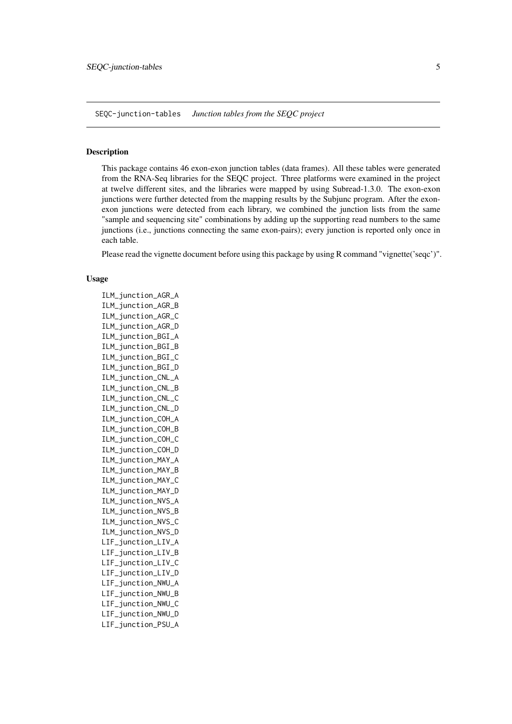<span id="page-4-0"></span>SEQC-junction-tables *Junction tables from the SEQC project*

#### Description

This package contains 46 exon-exon junction tables (data frames). All these tables were generated from the RNA-Seq libraries for the SEQC project. Three platforms were examined in the project at twelve different sites, and the libraries were mapped by using Subread-1.3.0. The exon-exon junctions were further detected from the mapping results by the Subjunc program. After the exonexon junctions were detected from each library, we combined the junction lists from the same "sample and sequencing site" combinations by adding up the supporting read numbers to the same junctions (i.e., junctions connecting the same exon-pairs); every junction is reported only once in each table.

Please read the vignette document before using this package by using R command "vignette('seqc')".

## Usage

ILM\_junction\_AGR\_A ILM\_junction\_AGR\_B ILM\_junction\_AGR\_C ILM\_junction\_AGR\_D ILM\_junction\_BGI\_A ILM\_junction\_BGI\_B ILM\_junction\_BGI\_C ILM\_junction\_BGI\_D ILM\_junction\_CNL\_A ILM\_junction\_CNL\_B ILM\_junction\_CNL\_C ILM\_junction\_CNL\_D ILM\_junction\_COH\_A ILM\_junction\_COH\_B ILM\_junction\_COH\_C ILM\_junction\_COH\_D ILM\_junction\_MAY\_A ILM\_junction\_MAY\_B ILM\_junction\_MAY\_C ILM\_junction\_MAY\_D ILM\_junction\_NVS\_A ILM\_junction\_NVS\_B ILM\_junction\_NVS\_C ILM\_junction\_NVS\_D LIF\_junction\_LIV\_A LIF\_junction\_LIV\_B LIF\_junction\_LIV\_C LIF\_junction\_LIV\_D LIF\_junction\_NWU\_A LIF\_junction\_NWU\_B LIF\_junction\_NWU\_C LIF\_junction\_NWU\_D LIF\_junction\_PSU\_A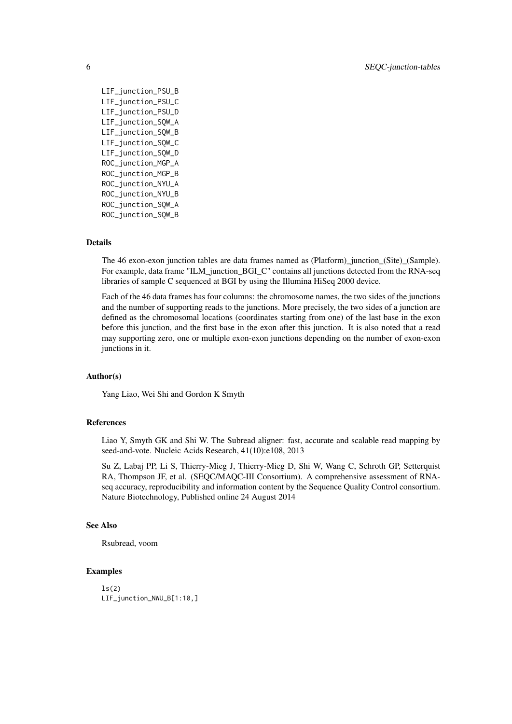LIF\_junction\_PSU\_B LIF\_junction\_PSU\_C LIF\_junction\_PSU\_D LIF\_junction\_SQW\_A LIF\_junction\_SQW\_B LIF\_junction\_SQW\_C LIF\_junction\_SQW\_D ROC\_junction\_MGP\_A ROC\_junction\_MGP\_B ROC\_junction\_NYU\_A ROC\_junction\_NYU\_B ROC\_junction\_SQW\_A ROC\_junction\_SQW\_B

## Details

The 46 exon-exon junction tables are data frames named as (Platform)\_junction\_(Site)\_(Sample). For example, data frame "ILM\_junction\_BGI\_C" contains all junctions detected from the RNA-seq libraries of sample C sequenced at BGI by using the Illumina HiSeq 2000 device.

Each of the 46 data frames has four columns: the chromosome names, the two sides of the junctions and the number of supporting reads to the junctions. More precisely, the two sides of a junction are defined as the chromosomal locations (coordinates starting from one) of the last base in the exon before this junction, and the first base in the exon after this junction. It is also noted that a read may supporting zero, one or multiple exon-exon junctions depending on the number of exon-exon junctions in it.

#### Author(s)

Yang Liao, Wei Shi and Gordon K Smyth

#### References

Liao Y, Smyth GK and Shi W. The Subread aligner: fast, accurate and scalable read mapping by seed-and-vote. Nucleic Acids Research, 41(10):e108, 2013

Su Z, Labaj PP, Li S, Thierry-Mieg J, Thierry-Mieg D, Shi W, Wang C, Schroth GP, Setterquist RA, Thompson JF, et al. (SEQC/MAQC-III Consortium). A comprehensive assessment of RNAseq accuracy, reproducibility and information content by the Sequence Quality Control consortium. Nature Biotechnology, Published online 24 August 2014

## See Also

Rsubread, voom

## Examples

```
ls(2)LIF_junction_NWU_B[1:10,]
```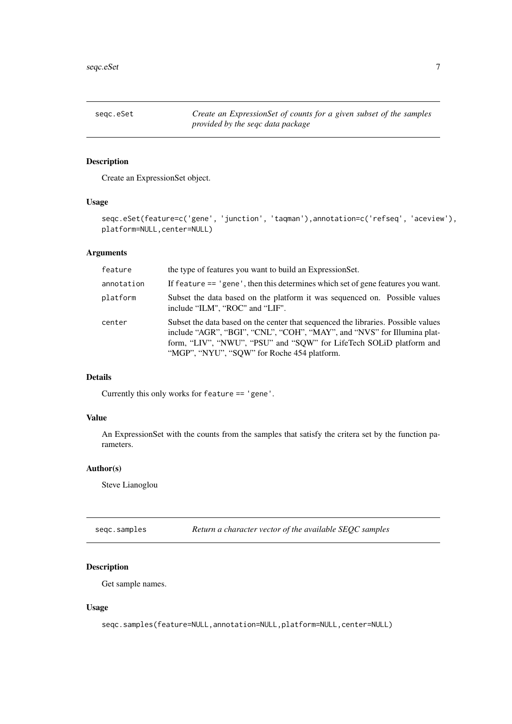<span id="page-6-0"></span>

## Description

Create an ExpressionSet object.

## Usage

```
seqc.eSet(feature=c('gene', 'junction', 'taqman'),annotation=c('refseq', 'aceview'),
platform=NULL,center=NULL)
```
## Arguments

| feature    | the type of features you want to build an Expression Set.                                                                                                                                                                                                                          |
|------------|------------------------------------------------------------------------------------------------------------------------------------------------------------------------------------------------------------------------------------------------------------------------------------|
| annotation | If feature == 'gene', then this determines which set of gene features you want.                                                                                                                                                                                                    |
| platform   | Subset the data based on the platform it was sequenced on. Possible values<br>include "ILM", "ROC" and "LIF".                                                                                                                                                                      |
| center     | Subset the data based on the center that sequenced the libraries. Possible values<br>include "AGR", "BGI", "CNL", "COH", "MAY", and "NVS" for Illumina plat-<br>form, "LIV", "NWU", "PSU" and "SQW" for LifeTech SOLiD platform and<br>"MGP", "NYU", "SQW" for Roche 454 platform. |

## Details

Currently this only works for feature == 'gene'.

## Value

An ExpressionSet with the counts from the samples that satisfy the critera set by the function parameters.

## Author(s)

Steve Lianoglou

seqc.samples *Return a character vector of the available SEQC samples*

## Description

Get sample names.

## Usage

seqc.samples(feature=NULL,annotation=NULL,platform=NULL,center=NULL)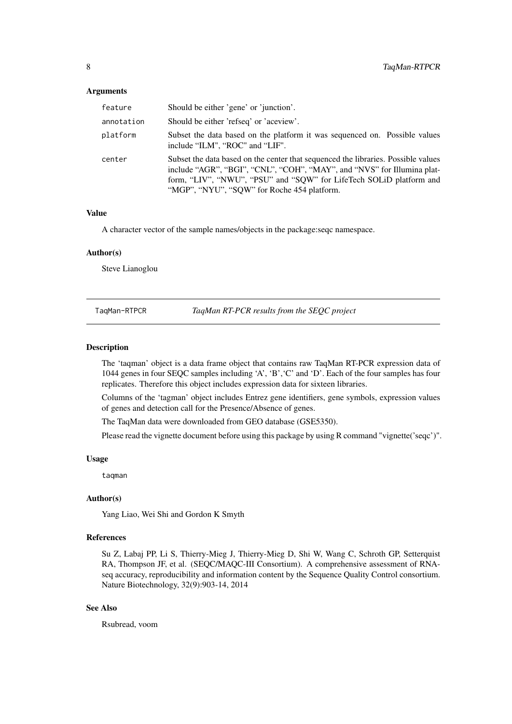## <span id="page-7-0"></span>Arguments

| feature    | Should be either 'gene' or 'junction'.                                                                                                                                                                                                                                             |
|------------|------------------------------------------------------------------------------------------------------------------------------------------------------------------------------------------------------------------------------------------------------------------------------------|
| annotation | Should be either 'refseq' or 'aceview'.                                                                                                                                                                                                                                            |
| platform   | Subset the data based on the platform it was sequenced on. Possible values<br>include "ILM", "ROC" and "LIF".                                                                                                                                                                      |
| center     | Subset the data based on the center that sequenced the libraries. Possible values<br>include "AGR", "BGI", "CNL", "COH", "MAY", and "NVS" for Illumina plat-<br>form, "LIV", "NWU", "PSU" and "SQW" for LifeTech SOLiD platform and<br>"MGP", "NYU", "SQW" for Roche 454 platform. |

## Value

A character vector of the sample names/objects in the package:seqc namespace.

#### Author(s)

Steve Lianoglou

TaqMan-RTPCR *TaqMan RT-PCR results from the SEQC project*

#### Description

The 'taqman' object is a data frame object that contains raw TaqMan RT-PCR expression data of 1044 genes in four SEQC samples including 'A', 'B','C' and 'D'. Each of the four samples has four replicates. Therefore this object includes expression data for sixteen libraries.

Columns of the 'tagman' object includes Entrez gene identifiers, gene symbols, expression values of genes and detection call for the Presence/Absence of genes.

The TaqMan data were downloaded from GEO database (GSE5350).

Please read the vignette document before using this package by using R command "vignette('seqc')".

## Usage

taqman

#### Author(s)

Yang Liao, Wei Shi and Gordon K Smyth

## References

Su Z, Labaj PP, Li S, Thierry-Mieg J, Thierry-Mieg D, Shi W, Wang C, Schroth GP, Setterquist RA, Thompson JF, et al. (SEQC/MAQC-III Consortium). A comprehensive assessment of RNAseq accuracy, reproducibility and information content by the Sequence Quality Control consortium. Nature Biotechnology, 32(9):903-14, 2014

## See Also

Rsubread, voom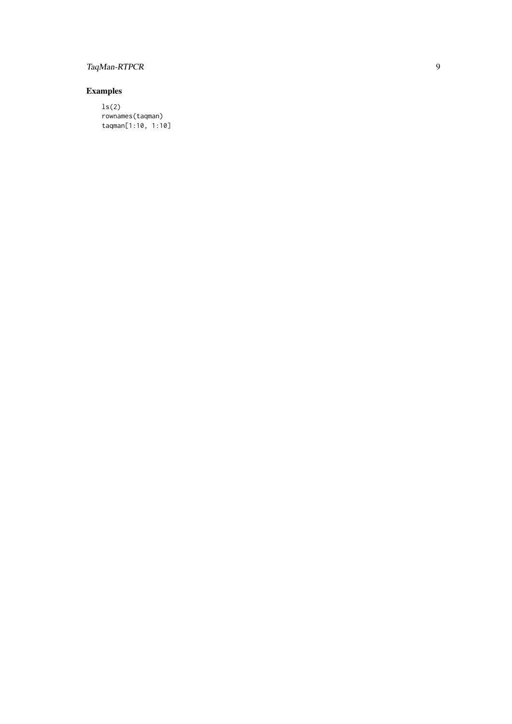# TaqMan-RTPCR

## Examples

ls(2) rownames(taqman) taqman[1:10, 1:10]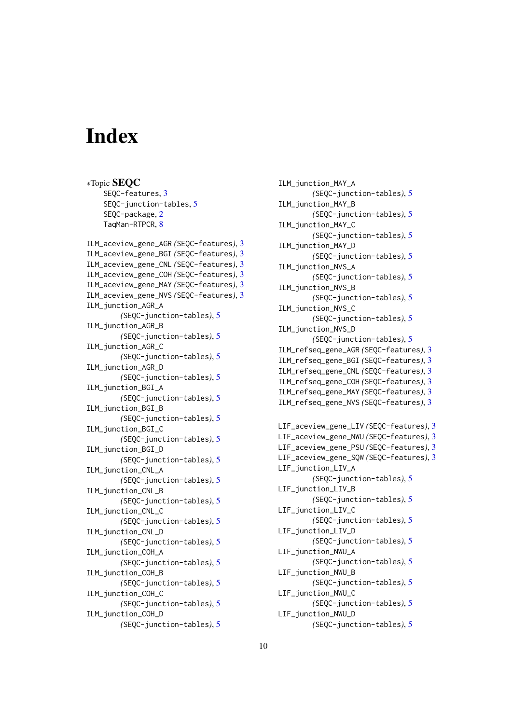# <span id="page-9-0"></span>Index

∗Topic SEQC SEQC-features, [3](#page-2-0) SEQC-junction-tables, [5](#page-4-0) SEQC-package, [2](#page-1-0) TaqMan-RTPCR, [8](#page-7-0)

```
ILM_aceview_gene_AGR (SEQC-features), 3
ILM_aceview_gene_BGI (SEQC-features), 3
ILM_aceview_gene_CNL (SEQC-features), 3
ILM_aceview_gene_COH (SEQC-features), 3
ILM_aceview_gene_MAY (SEQC-features), 3
ILM_aceview_gene_NVS (SEQC-features), 3
ILM_junction_AGR_A
        (SEQC-junction-tables), 5
ILM_junction_AGR_B
        (SEQC-junction-tables), 5
ILM_junction_AGR_C
        (SEQC-junction-tables), 5
ILM_junction_AGR_D
        (SEQC-junction-tables), 5
ILM_junction_BGI_A
        (SEQC-junction-tables), 5
ILM_junction_BGI_B
        (SEQC-junction-tables), 5
ILM_junction_BGI_C
        (SEQC-junction-tables), 5
ILM_junction_BGI_D
        (SEQC-junction-tables), 5
ILM_junction_CNL_A
        (SEQC-junction-tables), 5
ILM_junction_CNL_B
        (SEQC-junction-tables), 5
ILM_junction_CNL_C
        (SEQC-junction-tables), 5
ILM_junction_CNL_D
        (SEQC-junction-tables), 5
ILM_junction_COH_A
        (SEQC-junction-tables), 5
ILM_junction_COH_B
        (SEQC-junction-tables), 5
ILM_junction_COH_C
        (SEQC-junction-tables), 5
ILM_junction_COH_D
        (SEQC-junction-tables), 5
```
ILM\_junction\_MAY\_A *(*SEQC-junction-tables*)*, [5](#page-4-0) ILM\_junction\_MAY\_B *(*SEQC-junction-tables*)*, [5](#page-4-0) ILM\_junction\_MAY\_C *(*SEQC-junction-tables*)*, [5](#page-4-0) ILM\_junction\_MAY\_D *(*SEQC-junction-tables*)*, [5](#page-4-0) ILM\_junction\_NVS\_A *(*SEQC-junction-tables*)*, [5](#page-4-0) ILM\_junction\_NVS\_B *(*SEQC-junction-tables*)*, [5](#page-4-0) ILM\_junction\_NVS\_C *(*SEQC-junction-tables*)*, [5](#page-4-0) ILM\_junction\_NVS\_D *(*SEQC-junction-tables*)*, [5](#page-4-0) ILM\_refseq\_gene\_AGR *(*SEQC-features*)*, [3](#page-2-0) ILM\_refseq\_gene\_BGI *(*SEQC-features*)*, [3](#page-2-0) ILM\_refseq\_gene\_CNL *(*SEQC-features*)*, [3](#page-2-0) ILM\_refseq\_gene\_COH *(*SEQC-features*)*, [3](#page-2-0) ILM\_refseq\_gene\_MAY *(*SEQC-features*)*, [3](#page-2-0) ILM\_refseq\_gene\_NVS *(*SEQC-features*)*, [3](#page-2-0) LIF\_aceview\_gene\_LIV *(*SEQC-features*)*, [3](#page-2-0) LIF\_aceview\_gene\_NWU *(*SEQC-features*)*, [3](#page-2-0) LIF\_aceview\_gene\_PSU *(*SEQC-features*)*, [3](#page-2-0) LIF\_aceview\_gene\_SQW *(*SEQC-features*)*, [3](#page-2-0) LIF\_junction\_LIV\_A *(*SEQC-junction-tables*)*, [5](#page-4-0) LIF\_junction\_LIV\_B *(*SEQC-junction-tables*)*, [5](#page-4-0) LIF\_junction\_LIV\_C *(*SEQC-junction-tables*)*, [5](#page-4-0) LIF\_junction\_LIV\_D *(*SEQC-junction-tables*)*, [5](#page-4-0) LIF\_junction\_NWU\_A *(*SEQC-junction-tables*)*, [5](#page-4-0) LIF\_junction\_NWU\_B *(*SEQC-junction-tables*)*, [5](#page-4-0) LIF\_junction\_NWU\_C *(*SEQC-junction-tables*)*, [5](#page-4-0) LIF\_junction\_NWU\_D *(*SEQC-junction-tables*)*, [5](#page-4-0)